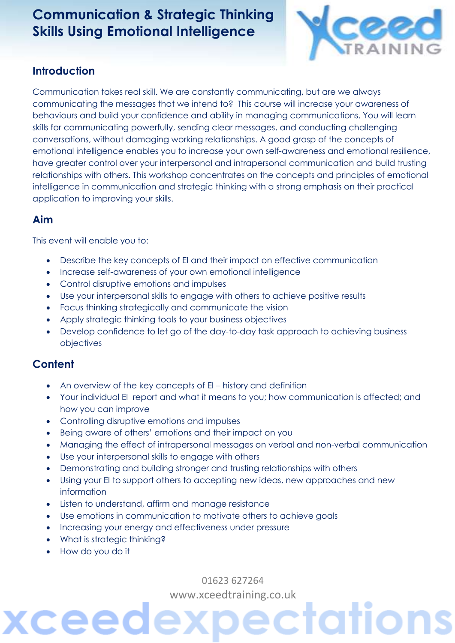# **Communication & Strategic Thinking Skills Using Emotional Intelligence**



#### **Introduction**

Communication takes real skill. We are constantly communicating, but are we always communicating the messages that we intend to? This course will increase your awareness of behaviours and build your confidence and ability in managing communications. You will learn skills for communicating powerfully, sending clear messages, and conducting challenging conversations, without damaging working relationships. A good grasp of the concepts of emotional intelligence enables you to increase your own self-awareness and emotional resilience, have greater control over your interpersonal and intrapersonal communication and build trusting relationships with others. This workshop concentrates on the concepts and principles of emotional intelligence in communication and strategic thinking with a strong emphasis on their practical application to improving your skills.

#### **Aim**

This event will enable you to:

- Describe the key concepts of EI and their impact on effective communication
- Increase self-awareness of your own emotional intelligence
- Control disruptive emotions and impulses
- Use your interpersonal skills to engage with others to achieve positive results
- Focus thinking strategically and communicate the vision
- Apply strategic thinking tools to your business objectives
- Develop confidence to let go of the day-to-day task approach to achieving business objectives

## **Content**

- An overview of the key concepts of EI history and definition
- Your individual EI report and what it means to you; how communication is affected; and how you can improve
- Controlling disruptive emotions and impulses
- Being aware of others' emotions and their impact on you
- Managing the effect of intrapersonal messages on verbal and non-verbal communication
- Use your interpersonal skills to engage with others
- Demonstrating and building stronger and trusting relationships with others
- Using your EI to support others to accepting new ideas, new approaches and new information
- Listen to understand, affirm and manage resistance
- Use emotions in communication to motivate others to achieve goals
- Increasing your energy and effectiveness under pressure
- What is strategic thinking?
- How do you do it

ceec

01623 627264 [www.xceedtraining.co.uk](http://www.xceedtraining.co.uk/)